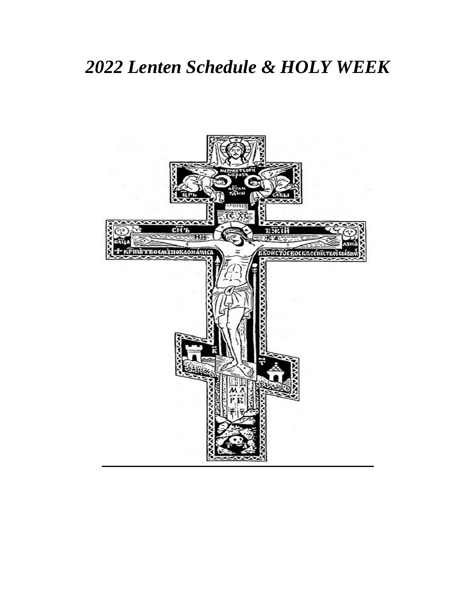# *Lenten Schedule & HOLY WEEK*

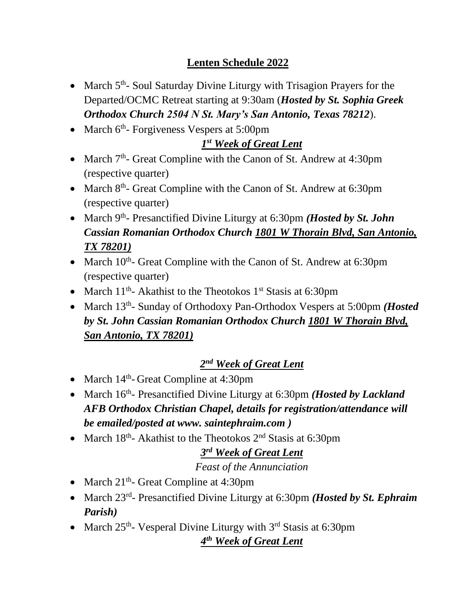## **Lenten Schedule 2022**

- March 5<sup>th</sup>- Soul Saturday Divine Liturgy with Trisagion Prayers for the Departed/OCMC Retreat starting at 9:30am (*Hosted by St. Sophia Greek Orthodox Church 2504 N St. Mary's San Antonio, Texas 78212*).
- March 6<sup>th</sup>- Forgiveness Vespers at 5:00pm

#### *1 st Week of Great Lent*

- March  $7<sup>th</sup>$  Great Compline with the Canon of St. Andrew at 4:30pm (respective quarter)
- March 8<sup>th</sup>- Great Compline with the Canon of St. Andrew at 6:30pm (respective quarter)
- March 9<sup>th</sup>- Presanctified Divine Liturgy at 6:30pm *(Hosted by St. John*) *Cassian Romanian Orthodox Church 1801 W Thorain Blvd, San Antonio, TX 78201)*
- March 10<sup>th</sup>- Great Compline with the Canon of St. Andrew at 6:30pm (respective quarter)
- March  $11<sup>th</sup>$  Akathist to the Theotokos  $1<sup>st</sup>$  Stasis at 6:30pm
- March 13<sup>th</sup>- Sunday of Orthodoxy Pan-Orthodox Vespers at 5:00pm *(Hosted by St. John Cassian Romanian Orthodox Church 1801 W Thorain Blvd, San Antonio, TX 78201)*

## *2 nd Week of Great Lent*

- March  $14<sup>th</sup>$  Great Compline at 4:30pm
- March 16<sup>th</sup>- Presanctified Divine Liturgy at 6:30pm *(Hosted by Lackland*) *AFB Orthodox Christian Chapel, details for registration/attendance will be emailed/posted at www. saintephraim.com )*
- March  $18<sup>th</sup>$  Akathist to the Theotokos  $2<sup>nd</sup>$  Stasis at 6:30pm

#### *3 rd Week of Great Lent*

#### *Feast of the Annunciation*

- March  $21<sup>th</sup>$  Great Compline at 4:30pm
- March 23<sup>rd</sup>- Presanctified Divine Liturgy at 6:30pm *(Hosted by St. Ephraim*) *Parish)*
- March 25<sup>th</sup>- Vesperal Divine Liturgy with 3<sup>rd</sup> Stasis at 6:30pm

#### *4 th Week of Great Lent*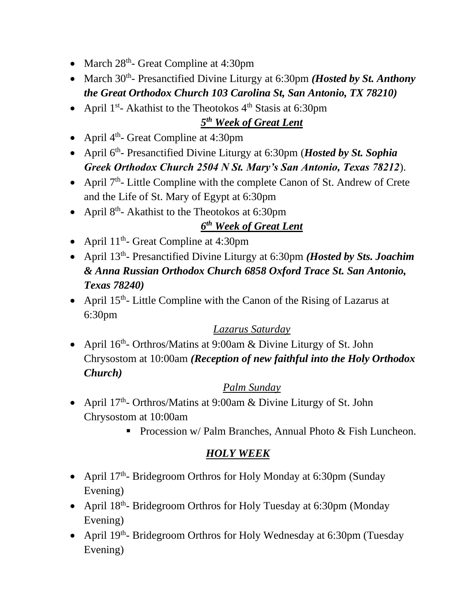- March 28<sup>th</sup>- Great Compline at 4:30pm
- March 30<sup>th</sup>- Presanctified Divine Liturgy at 6:30pm *(Hosted by St. Anthony the Great Orthodox Church 103 Carolina St, San Antonio, TX 78210)*
- April  $1^{st}$  Akathist to the Theotokos  $4^{th}$  Stasis at 6:30pm

### *5 th Week of Great Lent*

- April  $4<sup>th</sup>$  Great Compline at 4:30pm
- April 6<sup>th</sup>- Presanctified Divine Liturgy at 6:30pm (*Hosted by St. Sophia*) *Greek Orthodox Church 2504 N St. Mary's San Antonio, Texas 78212*).
- April 7<sup>th</sup>- Little Compline with the complete Canon of St. Andrew of Crete and the Life of St. Mary of Egypt at 6:30pm
- April  $8<sup>th</sup>$  Akathist to the Theotokos at 6:30pm

### *6 th Week of Great Lent*

- April  $11<sup>th</sup>$  Great Compline at 4:30pm
- April 13<sup>th</sup>- Presanctified Divine Liturgy at 6:30pm *(Hosted by Sts. Joachim*) *& Anna Russian Orthodox Church 6858 Oxford Trace St. San Antonio, Texas 78240)*
- April  $15<sup>th</sup>$  Little Compline with the Canon of the Rising of Lazarus at 6:30pm

#### *Lazarus Saturday*

• April 16<sup>th</sup>- Orthros/Matins at 9:00am & Divine Liturgy of St. John Chrysostom at 10:00am *(Reception of new faithful into the Holy Orthodox Church)*

#### *Palm Sunday*

- April  $17<sup>th</sup>$  Orthros/Matins at 9:00am & Divine Liturgy of St. John Chrysostom at 10:00am
	- Procession w/ Palm Branches, Annual Photo & Fish Luncheon.

#### *HOLY WEEK*

- April 17<sup>th</sup>- Bridegroom Orthros for Holy Monday at 6:30pm (Sunday Evening)
- April 18<sup>th</sup>- Bridegroom Orthros for Holy Tuesday at 6:30pm (Monday Evening)
- April 19<sup>th</sup>- Bridegroom Orthros for Holy Wednesday at 6:30pm (Tuesday Evening)